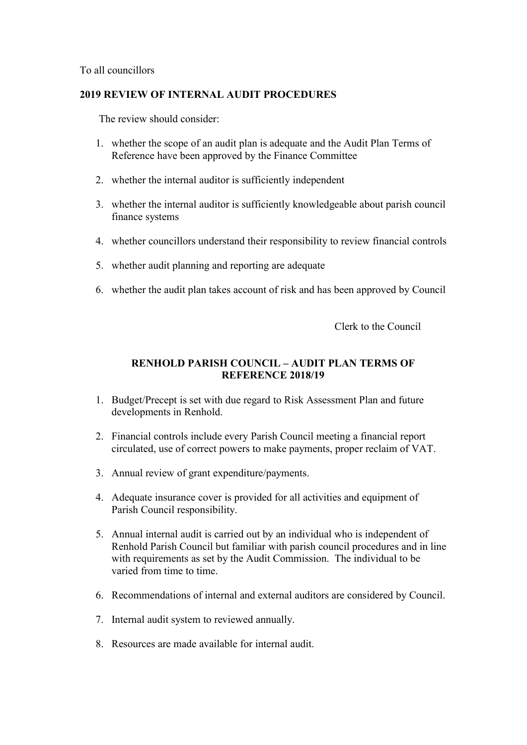To all councillors

## **2019 REVIEW OF INTERNAL AUDIT PROCEDURES**

The review should consider:

- 1. whether the scope of an audit plan is adequate and the Audit Plan Terms of Reference have been approved by the Finance Committee
- 2. whether the internal auditor is sufficiently independent
- 3. whether the internal auditor is sufficiently knowledgeable about parish council finance systems
- 4. whether councillors understand their responsibility to review financial controls
- 5. whether audit planning and reporting are adequate
- 6. whether the audit plan takes account of risk and has been approved by Council

Clerk to the Council

## **RENHOLD PARISH COUNCIL – AUDIT PLAN TERMS OF REFERENCE 2018/19**

- 1. Budget/Precept is set with due regard to Risk Assessment Plan and future developments in Renhold.
- 2. Financial controls include every Parish Council meeting a financial report circulated, use of correct powers to make payments, proper reclaim of VAT.
- 3. Annual review of grant expenditure/payments.
- 4. Adequate insurance cover is provided for all activities and equipment of Parish Council responsibility.
- 5. Annual internal audit is carried out by an individual who is independent of Renhold Parish Council but familiar with parish council procedures and in line with requirements as set by the Audit Commission. The individual to be varied from time to time.
- 6. Recommendations of internal and external auditors are considered by Council.
- 7. Internal audit system to reviewed annually.
- 8. Resources are made available for internal audit.